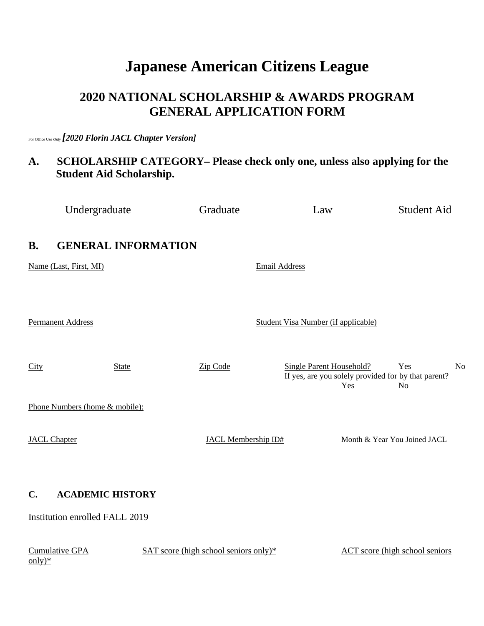# **Japanese American Citizens League**

## **2020 NATIONAL SCHOLARSHIP & AWARDS PROGRAM GENERAL APPLICATION FORM**

For Office Use *Only [2020 Florin JACL Chapter Version]*

# **A. SCHOLARSHIP CATEGORY– Please check only one, unless also applying for the Student Aid Scholarship.**

|                         | Undergraduate                                             | Graduate                              | Law                                    | <b>Student Aid</b>                                                                             |
|-------------------------|-----------------------------------------------------------|---------------------------------------|----------------------------------------|------------------------------------------------------------------------------------------------|
| <b>B.</b>               | <b>GENERAL INFORMATION</b>                                |                                       |                                        |                                                                                                |
|                         | Name (Last, First, MI)                                    |                                       | <b>Email Address</b>                   |                                                                                                |
|                         | <b>Permanent Address</b>                                  |                                       | Student Visa Number (if applicable)    |                                                                                                |
| City                    | <b>State</b>                                              | Zip Code                              | <b>Single Parent Household?</b><br>Yes | Yes<br>N <sub>o</sub><br>If yes, are you solely provided for by that parent?<br>N <sub>o</sub> |
|                         | Phone Numbers (home & mobile):                            |                                       |                                        |                                                                                                |
|                         | <b>JACL Chapter</b>                                       | <b>JACL Membership ID#</b>            |                                        | Month & Year You Joined JACL                                                                   |
| $\mathbf{C}$ .          | <b>ACADEMIC HISTORY</b><br>Institution enrolled FALL 2019 |                                       |                                        |                                                                                                |
| $\frac{\text{only}}{ }$ | <b>Cumulative GPA</b>                                     | SAT score (high school seniors only)* |                                        | <b>ACT</b> score (high school seniors                                                          |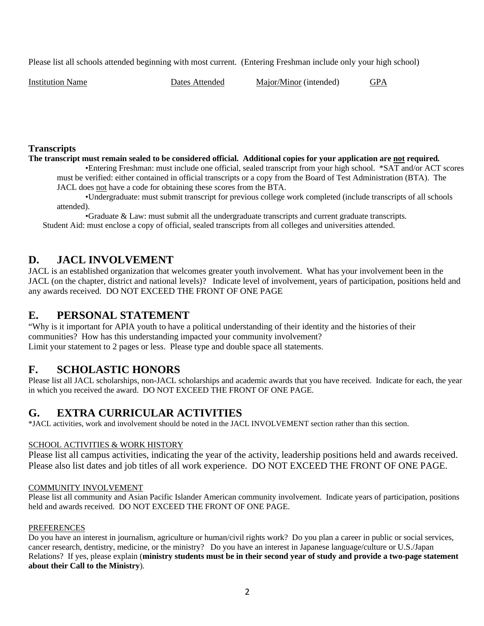Please list all schools attended beginning with most current. (Entering Freshman include only your high school)

Institution Name Dates Attended Major/Minor (intended) GPA

#### **Transcripts**

**The transcript must remain sealed to be considered official. Additional copies for your application are not required***.* 

•Entering Freshman: must include one official, sealed transcript from your high school. \*SAT and/or ACT scores must be verified: either contained in official transcripts or a copy from the Board of Test Administration (BTA). The

JACL does not have a code for obtaining these scores from the BTA.

•Undergraduate: must submit transcript for previous college work completed (include transcripts of all schools attended).

•Graduate & Law: must submit all the undergraduate transcripts and current graduate transcripts. Student Aid: must enclose a copy of official, sealed transcripts from all colleges and universities attended.

## **D. JACL INVOLVEMENT**

JACL is an established organization that welcomes greater youth involvement. What has your involvement been in the JACL (on the chapter, district and national levels)? Indicate level of involvement, years of participation, positions held and any awards received. DO NOT EXCEED THE FRONT OF ONE PAGE

### **E. PERSONAL STATEMENT**

"Why is it important for APIA youth to have a political understanding of their identity and the histories of their communities? How has this understanding impacted your community involvement? Limit your statement to 2 pages or less. Please type and double space all statements.

## **F. SCHOLASTIC HONORS**

Please list all JACL scholarships, non-JACL scholarships and academic awards that you have received. Indicate for each, the year in which you received the award. DO NOT EXCEED THE FRONT OF ONE PAGE.

## **G. EXTRA CURRICULAR ACTIVITIES**

\*JACL activities, work and involvement should be noted in the JACL INVOLVEMENT section rather than this section.

#### SCHOOL ACTIVITIES & WORK HISTORY

Please list all campus activities, indicating the year of the activity, leadership positions held and awards received. Please also list dates and job titles of all work experience. DO NOT EXCEED THE FRONT OF ONE PAGE.

#### COMMUNITY INVOLVEMENT

Please list all community and Asian Pacific Islander American community involvement. Indicate years of participation, positions held and awards received. DO NOT EXCEED THE FRONT OF ONE PAGE.

#### PREFERENCES

Do you have an interest in journalism, agriculture or human/civil rights work? Do you plan a career in public or social services, cancer research, dentistry, medicine, or the ministry? Do you have an interest in Japanese language/culture or U.S./Japan Relations? If yes, please explain (**ministry students must be in their second year of study and provide a two-page statement about their Call to the Ministry**).